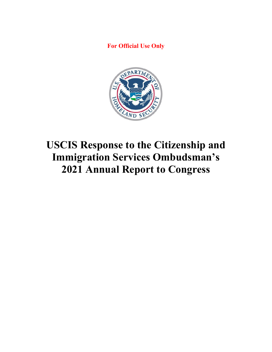**For Official Use Only**



# **USCIS Response to the Citizenship and Immigration Services Ombudsman's 2021 Annual Report to Congress**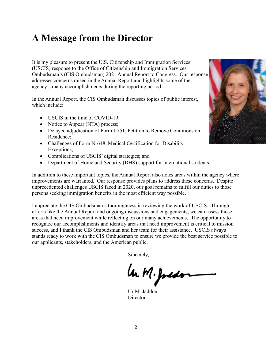### **A Message from the Director**

It is my pleasure to present the U.S. Citizenship and Immigration Services (USCIS) response to the Office of Citizenship and Immigration Services Ombudsman's (CIS Ombudsman) 2021 Annual Report to Congress. Our response addresses concerns raised in the Annual Report and highlights some of the agency's many accomplishments during the reporting period.

In the Annual Report, the CIS Ombudsman discusses topics of public interest, which include:

- USCIS in the time of COVID-19;
- Notice to Appear (NTA) process;
- Delayed adjudication of Form I-751, Petition to Remove Conditions on Residence;
- Challenges of Form N-648, Medical Certification for Disability Exceptions;
- Complications of USCIS' digital strategies; and
- Department of Homeland Security (DHS) support for international students.

In addition to these important topics, the Annual Report also notes areas within the agency where improvements are warranted. Our response provides plans to address these concerns. Despite unprecedented challenges USCIS faced in 2020, our goal remains to fulfill our duties to those persons seeking immigration benefits in the most efficient way possible.

I appreciate the CIS Ombudsman's thoroughness in reviewing the work of USCIS. Through efforts like the Annual Report and ongoing discussions and engagements, we can assess those areas that need improvement while reflecting on our many achievements. The opportunity to recognize our accomplishments and identify areas that need improvement is critical to mission success, and I thank the CIS Ombudsman and her team for their assistance. USCIS always stands ready to work with the CIS Ombudsman to ensure we provide the best service possible to our applicants, stakeholders, and the American public.

Sincerely,

la M. Justo

Ur M. Jaddou Director

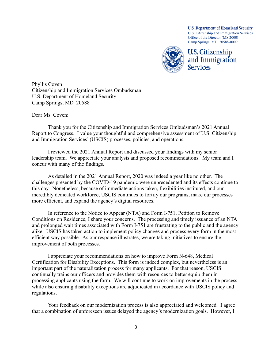**U.S. Department of Homeland Security** U.S. Citizenship and Immigration Services Office of the Director (MS 2000) Camp Springs, MD 20588-0009



**U.S. Citizenship** and Immigration **Services** 

Phyllis Coven Citizenship and Immigration Services Ombudsman U.S. Department of Homeland Security Camp Springs, MD 20588

Dear Ms. Coven:

Thank you for the Citizenship and Immigration Services Ombudsman's 2021 Annual Report to Congress. I value your thoughtful and comprehensive assessment of U.S. Citizenship and Immigration Services' (USCIS) processes, policies, and operations.

I reviewed the 2021 Annual Report and discussed your findings with my senior leadership team. We appreciate your analysis and proposed recommendations. My team and I concur with many of the findings.

As detailed in the 2021 Annual Report, 2020 was indeed a year like no other. The challenges presented by the COVID-19 pandemic were unprecedented and its effects continue to this day. Nonetheless, because of immediate actions taken, flexibilities instituted, and our incredibly dedicated workforce, USCIS continues to fortify our programs, make our processes more efficient, and expand the agency's digital resources.

In reference to the Notice to Appear (NTA) and Form I-751, Petition to Remove Conditions on Residence, I share your concerns. The processing and timely issuance of an NTA and prolonged wait times associated with Form I-751 are frustrating to the public and the agency alike. USCIS has taken action to implement policy changes and process every form in the most efficient way possible. As our response illustrates, we are taking initiatives to ensure the improvement of both processes.

I appreciate your recommendations on how to improve Form N-648, Medical Certification for Disability Exceptions. This form is indeed complex, but nevertheless is an important part of the naturalization process for many applicants. For that reason, USCIS continually trains our officers and provides them with resources to better equip them in processing applicants using the form. We will continue to work on improvements in the process while also ensuring disability exceptions are adjudicated in accordance with USCIS policy and regulations.

Your feedback on our modernization process is also appreciated and welcomed. I agree that a combination of unforeseen issues delayed the agency's modernization goals. However, I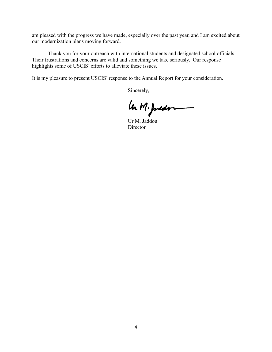am pleased with the progress we have made, especially over the past year, and I am excited about our modernization plans moving forward.

 Thank you for your outreach with international students and designated school officials. Their frustrations and concerns are valid and something we take seriously. Our response highlights some of USCIS' efforts to alleviate these issues.

It is my pleasure to present USCIS' response to the Annual Report for your consideration.

Sincerely,

 $\mu, M.$  Juston

Director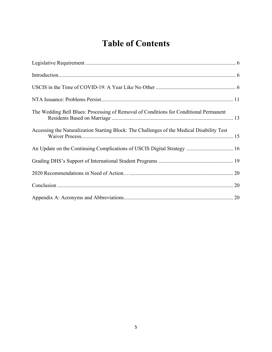### **Table of Contents**

| The Wedding Bell Blues: Processing of Removal of Conditions for Conditional Permanent      |
|--------------------------------------------------------------------------------------------|
| Accessing the Naturalization Starting Block: The Challenges of the Medical Disability Test |
| An Update on the Continuing Complications of USCIS Digital Strategy  16                    |
|                                                                                            |
|                                                                                            |
|                                                                                            |
|                                                                                            |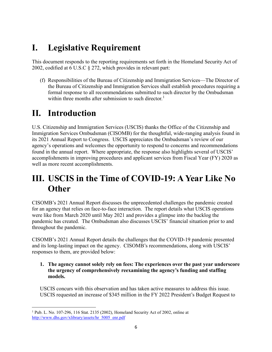### **I. Legislative Requirement**

This document responds to the reporting requirements set forth in the Homeland Security Act of 2002, codified at 6 U.S.C § 272, which provides in relevant part:

(f) Responsibilities of the Bureau of Citizenship and Immigration Services—The Director of the Bureau of Citizenship and Immigration Services shall establish procedures requiring a formal response to all recommendations submitted to such director by the Ombudsman within three months after submission to such director.<sup>[1](#page-5-0)</sup>

### **II. Introduction**

U.S. Citizenship and Immigration Services (USCIS) thanks the Office of the Citizenship and Immigration Services Ombudsman (CISOMB) for the thoughtful, wide-ranging analysis found in its 2021 Annual Report to Congress. USCIS appreciates the Ombudsman's review of our agency's operations and welcomes the opportunity to respond to concerns and recommendations found in the annual report. Where appropriate, the response also highlights several of USCIS' accomplishments in improving procedures and applicant services from Fiscal Year (FY) 2020 as well as more recent accomplishments.

### **III. USCIS in the Time of COVID-19: A Year Like No Other**

CISOMB's 2021 Annual Report discusses the unprecedented challenges the pandemic created for an agency that relies on face-to-face interaction. The report details what USCIS operations were like from March 2020 until May 2021 and provides a glimpse into the backlog the pandemic has created. The Ombudsman also discusses USCIS' financial situation prior to and throughout the pandemic.

CISOMB's 2021 Annual Report details the challenges that the COVID-19 pandemic presented and its long-lasting impact on the agency. CISOMB's recommendations, along with USCIS' responses to them, are provided below:

**1. The agency cannot solely rely on fees: The experiences over the past year underscore the urgency of comprehensively reexamining the agency's funding and staffing models.**

USCIS concurs with this observation and has taken active measures to address this issue. USCIS requested an increase of \$345 million in the FY 2022 President's Budget Request to

<span id="page-5-0"></span><sup>&</sup>lt;sup>1</sup> Pub. L. No. 107-296, 116 Stat. 2135 (2002), Homeland Security Act of 2002, online at [http://www.dhs.gov/xlibrary/assets/hr\\_5005\\_enr.pdf](http://www.dhs.gov/xlibrary/assets/hr_5005_enr.pdf)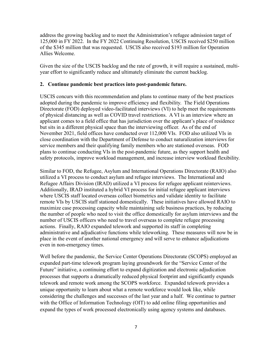address the growing backlog and to meet the Administration's refugee admission target of 125,000 in FY 2022. In the FY 2022 Continuing Resolution, USCIS received \$250 million of the \$345 million that was requested. USCIS also received \$193 million for Operation Allies Welcome.

Given the size of the USCIS backlog and the rate of growth, it will require a sustained, multiyear effort to significantly reduce and ultimately eliminate the current backlog.

#### **2. Continue pandemic best practices into post-pandemic future.**

USCIS concurs with this recommendation and plans to continue many of the best practices adopted during the pandemic to improve efficiency and flexibility. The Field Operations Directorate (FOD) deployed video-facilitated interviews (VI) to help meet the requirements of physical distancing as well as COVID travel restrictions. A VI is an interview where an applicant comes to a field office that has jurisdiction over the applicant's place of residence but sits in a different physical space than the interviewing officer. As of the end of November 2021, field offices have conducted over 112,000 VIs. FOD also utilized VIs in close coordination with the Department of Defense to conduct naturalization interviews for service members and their qualifying family members who are stationed overseas. FOD plans to continue conducting VIs in the post-pandemic future, as they support health and safety protocols, improve workload management, and increase interview workload flexibility.

Similar to FOD, the Refugee, Asylum and International Operations Directorate (RAIO) also utilized a VI process to conduct asylum and refugee interviews. The International and Refugee Affairs Division (IRAD) utilized a VI process for refugee applicant reinterviews. Additionally, IRAD instituted a hybrid VI process for initial refugee applicant interviews where USCIS staff located overseas collect biometrics and validate identity to facilitate remote VIs by USCIS staff stationed domestically. These initiatives have allowed RAIO to maximize case processing capacity while maintaining safe business practices, by reducing the number of people who need to visit the office domestically for asylum interviews and the number of USCIS officers who need to travel overseas to complete refugee processing actions. Finally, RAIO expanded telework and supported its staff in completing administrative and adjudicative functions while teleworking. These measures will now be in place in the event of another national emergency and will serve to enhance adjudications even in non-emergency times.

Well before the pandemic, the Service Center Operations Directorate (SCOPS) employed an expanded part-time telework program laying groundwork for the "Service Center of the Future" initiative, a continuing effort to expand digitization and electronic adjudication processes that supports a dramatically reduced physical footprint and significantly expands telework and remote work among the SCOPS workforce.Expanded telework provides a unique opportunity to learn about what a remote workforce would look like, while considering the challenges and successes of the last year and a half. We continue to partner with the Office of Information Technology (OIT) to add online filing opportunities and expand the types of work processed electronically using agency systems and databases.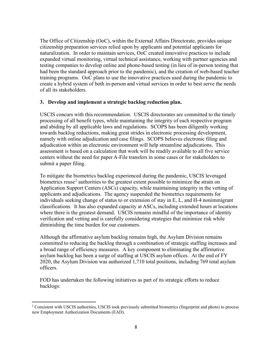The Office of Citizenship (OoC), within the External Affairs Directorate, provides unique citizenship preparation services relied upon by applicants and potential applicants for naturalization. In order to maintain services, OoC created innovative practices to include expanded virtual monitoring, virtual technical assistance, working with partner agencies and testing companies to develop online and phone-based testing (in lieu of in-person testing that had been the standard approach prior to the pandemic), and the creation of web-based teacher training programs. OoC plans to use the innovative practices used during the pandemic to create a hybrid system of both in-person and virtual services in order to best serve the needs of all its stakeholders.

#### **3. Develop and implement a strategic backlog reduction plan.**

USCIS concurs with this recommendation. USCIS directorates are committed to the timely processing of all benefit types, while maintaining the integrity of each respective program and abiding by all applicable laws and regulations. SCOPS has been diligently working towards backlog reductions, making great strides in electronic processing development, namely with online adjudication and case filings. SCOPS believes electronic filing and adjudication within an electronic environment will help streamline adjudications. This assessment is based on a calculation that work will be readily available to all five service centers without the need for paper A-File transfers in some cases or for stakeholders to submit a paper filing.

To mitigate the biometrics backlog experienced during the pandemic, USCIS leveraged biometrics reuse<sup>[2](#page-7-0)</sup> authorities to the greatest extent possible to minimize the strain on Application Support Centers (ASCs) capacity, while maintaining integrity in the vetting of applicants and adjudications. The agency suspended the biometrics requirements for individuals seeking change of status to or extension of stay in E, L, and H-4 nonimmigrant classifications. It has also expanded capacity at ASCs, including extended hours at locations where there is the greatest demand. USCIS remains mindful of the importance of identity verification and vetting and is carefully considering strategies that minimize risk while diminishing the time burden for our customers.

Although the affirmative asylum backlog remains high, the Asylum Division remains committed to reducing the backlog through a combination of strategic staffing increases and a broad range of efficiency measures. A key component to eliminating the affirmative asylum backlog has been a surge of staffing at USCIS asylum offices. At the end of FY 2020, the Asylum Division was authorized 1,710 total positions, including 769 total asylum officers.

FOD has undertaken the following initiatives as part of its strategic efforts to reduce backlogs:

<span id="page-7-0"></span><sup>&</sup>lt;sup>2</sup> Consistent with USCIS authorities, USCIS took previously submitted biometrics (fingerprint and photo) to process new Employment Authorization Documents (EAD).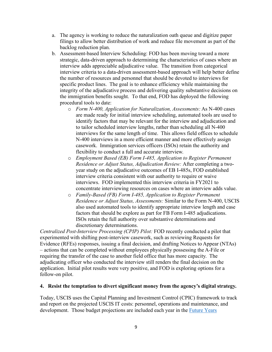- a. The agency is working to reduce the naturalization oath queue and digitize paper filings to allow better distribution of work and reduce file movement as part of the backlog reduction plan.
- b. Assessment-based Interview Scheduling: FOD has been moving toward a more strategic, data-driven approach to determining the characteristics of cases where an interview adds appreciable adjudicative value. The transition from categorical interview criteria to a data-driven assessment-based approach will help better define the number of resources and personnel that should be devoted to interviews for specific product lines. The goal is to enhance efficiency while maintaining the integrity of the adjudicative process and delivering quality substantive decisions on the immigration benefits sought. To that end, FOD has deployed the following procedural tools to date:
	- o *Form N-400, Application for Naturalization, Assessments:* As N-400 cases are made ready for initial interview scheduling, automated tools are used to identify factors that may be relevant for the interview and adjudication and to tailor scheduled interview lengths, rather than scheduling all N-400 interviews for the same length of time. This allows field offices to schedule N-400 interviews in a more efficient manner and more effectively assign casework. Immigration services officers (ISOs) retain the authority and flexibility to conduct a full and accurate interview.
	- o *Employment Based (EB) Form I-485, Application to Register Permanent Residence or Adjust Status, Adjudication Review:* After completing a twoyear study on the adjudicative outcomes of EB I-485s, FOD established interview criteria consistent with our authority to require or waive interviews. FOD implemented this interview criteria in FY2021 to concentrate interviewing resources on cases where an interview adds value.
	- o *Family-Based (FB) Form I-485, Application to Register Permanent Residence or Adjust Status, Assessments:* Similar to the Form N-400, USCIS also used automated tools to identify appropriate interview length and case factors that should be explore as part for FB Form I-485 adjudications. ISOs retain the full authority over substantive determinations and discretionary determinations.

*Centralized Post-Interview Processing (CPIP) Pilot:* FOD recently conducted a pilot that experimented with shifting post-interview casework, such as reviewing Requests for Evidence (RFEs) responses, issuing a final decision, and drafting Notices to Appear (NTAs) – actions that can be completed without employees physically possessing the A-File or requiring the transfer of the case to another field office that has more capacity. The adjudicating officer who conducted the interview still renders the final decision on the application. Initial pilot results were very positive, and FOD is exploring options for a follow-on pilot.

#### **4. Resist the temptation to divert significant money from the agency's digital strategy.**

Today, USCIS uses the Capital Planning and Investment Control (CPIC) framework to track and report on the projected USCIS IT costs: personnel, operations and maintenance, and development. Those budget projections are included each year in the **Future Years**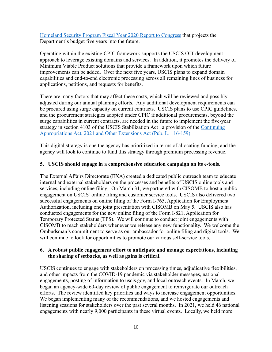[Homeland Security Program Fiscal Year 2020 Report to Congress](https://www.dhs.gov/sites/default/files/publications/ocfo_-_fy_2021-2025_fyhsp_-_executive_summary.pdf) that projects the Department's budget five years into the future.

Operating within the existing CPIC framework supports the USCIS OIT development approach to leverage existing domains and services. In addition, it promotes the delivery of Minimum Viable Product solutions that provide a framework upon which future improvements can be added. Over the next five years, USCIS plans to expand domain capabilities and end-to-end electronic processing across all remaining lines of business for applications, petitions, and requests for benefits.

There are many factors that may affect these costs, which will be reviewed and possibly adjusted during our annual planning efforts. Any additional development requirements can be procured using surge capacity on current contracts. USCIS plans to use CPIC guidelines, and the procurement strategies adopted under CPIC if additional procurements, beyond the surge capabilities in current contracts, are needed in the future to implement the five-year strategy in section 4103 of the USCIS Stabilization Act , a provision of the [Continuing](https://www.govinfo.gov/app/details/PLAW-116publ159/summary)  [Appropriations Act, 2021 and Other Extensions Act \(Pub. L. 116-159\).](https://www.govinfo.gov/app/details/PLAW-116publ159/summary)

This digital strategy is one the agency has prioritized in terms of allocating funding, and the agency will look to continue to fund this strategy through premium processing revenue.

#### **5. USCIS should engage in a comprehensive education campaign on its e-tools.**

The External Affairs Directorate (EXA) created a dedicated public outreach team to educate internal and external stakeholders on the processes and benefits of USCIS online tools and services, including online filing. On March 31, we partnered with CISOMB to host a public engagement on USCIS' online filing and customer service tools. USCIS also delivered two successful engagements on online filing of the Form I-765, Application for Employment Authorization, including one joint presentation with CISOMB on May 5. USCIS also has conducted engagements for the new online filing of the Form I-821, Application for Temporary Protected Status (TPS). We will continue to conduct joint engagements with CISOMB to reach stakeholders whenever we release any new functionality. We welcome the Ombudsman's commitment to serve as our ambassador for online filing and digital tools. We will continue to look for opportunities to promote our various self-service tools.

#### **6. A robust public engagement effort to anticipate and manage expectations, including the sharing of setbacks, as well as gains is critical.**

USCIS continues to engage with stakeholders on processing times, adjudicative flexibilities, and other impacts from the COVID-19 pandemic via stakeholder messages, national engagements, posting of information to uscis.gov, and local outreach events. In March, we began an agency-wide 60-day review of public engagement to reinvigorate our outreach efforts. The review identified key priorities and ways to increase engagement opportunities. We began implementing many of the recommendations, and we hosted engagements and listening sessions for stakeholders over the past several months. In 2021, we held 46 national engagements with nearly 9,000 participants in these virtual events. Locally, we held more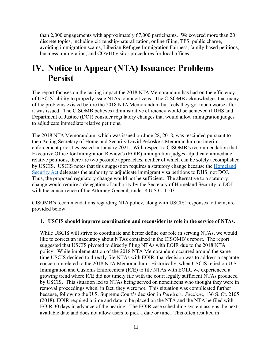than 2,000 engagements with approximately 67,000 participants. We covered more than 20 discrete topics, including citizenship/naturalization, online filing, TPS, public charge, avoiding immigration scams, Liberian Refugee Immigration Fairness, family-based petitions, business immigration, and COVID visitor procedures for local offices.

### **IV. Notice to Appear (NTA) Issuance: Problems Persist**

The report focuses on the lasting impact the 2018 NTA Memorandum has had on the efficiency of USCIS' ability to properly issue NTAs to noncitizens. The CISOMB acknowledges that many of the problems existed before the 2018 NTA Memorandum but feels they got much worse after it was issued. The CISOMB believes administrative efficiency would be achieved if DHS and Department of Justice (DOJ) consider regulatory changes that would allow immigration judges to adjudicate immediate relative petitions.

The 2018 NTA Memorandum, which was issued on June 28, 2018, was rescinded pursuant to then Acting Secretary of Homeland Security David Pekoske's Memorandum on interim enforcement priorities issued in January 2021. With respect to CISOMB's recommendation that Executive Office for Immigration Review's (EOIR) immigration judges adjudicate immediate relative petitions, there are two possible approaches, neither of which can be solely accomplished by USCIS. USCIS notes that this suggestion requires a statutory change because the [Homeland](https://www.dhs.gov/sites/default/files/publications/hr_5005_enr.pdf)  [Security Act](https://www.dhs.gov/sites/default/files/publications/hr_5005_enr.pdf) delegates the authority to adjudicate immigrant visa petitions to DHS, not DOJ. Thus, the proposed regulatory change would not be sufficient. The alternative to a statutory change would require a delegation of authority by the Secretary of Homeland Security to DOJ with the concurrence of the Attorney General, under 8 U.S.C. 1103.

CISOMB's recommendations regarding NTA policy, along with USCIS' responses to them, are provided below:

#### **1. USCIS should improve coordination and reconsider its role in the service of NTAs.**

While USCIS will strive to coordinate and better define our role in serving NTAs, we would like to correct an inaccuracy about NTAs contained in the CISOMB's report. The report suggested that USCIS pivoted to directly filing NTAs with EOIR due to the 2018 NTA policy. While implementation of the 2018 NTA Memorandum occurred around the same time USCIS decided to directly file NTAs with EOIR, that decision was to address a separate concern unrelated to the 2018 NTA Memorandum. Historically, when USCIS relied on U.S. Immigration and Customs Enforcement (ICE) to file NTAs with EOIR, we experienced a growing trend where ICE did not timely file with the court legally sufficient NTAs produced by USCIS. This situation led to NTAs being served on noncitizens who thought they were in removal proceedings when, in fact, they were not. This situation was complicated further because, following the U.S. Supreme Court's decision in *Pereira v. Sessions*, 136 S. Ct. 2105 (2018), EOIR required a time and date to be placed on the NTA and the NTA be filed with EOIR 30 days in advance of the hearing. The EOIR case scheduling system assigns the next available date and does not allow users to pick a date or time. This often resulted in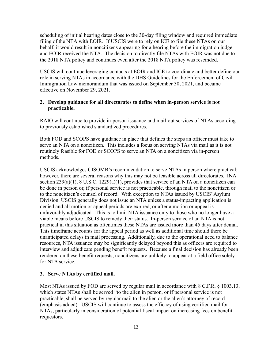scheduling of initial hearing dates close to the 30-day filing window and required immediate filing of the NTA with EOIR. If USCIS were to rely on ICE to file these NTAs on our behalf, it would result in noncitizens appearing for a hearing before the immigration judge and EOIR received the NTA. The decision to directly file NTAs with EOIR was not due to the 2018 NTA policy and continues even after the 2018 NTA policy was rescinded.

USCIS will continue leveraging contacts at EOIR and ICE to coordinate and better define our role in serving NTAs in accordance with the DHS Guidelines for the Enforcement of Civil Immigration Law memorandum that was issued on September 30, 2021, and became effective on November 29, 2021.

#### **2. Develop guidance for all directorates to define when in-person service is not practicable.**

RAIO will continue to provide in-person issuance and mail-out services of NTAs according to previously established standardized procedures.

Both FOD and SCOPS have guidance in place that defines the steps an officer must take to serve an NTA on a noncitizen. This includes a focus on serving NTAs via mail as it is not routinely feasible for FOD or SCOPS to serve an NTA on a noncitizen via in-person methods.

USCIS acknowledges CISOMB's recommendation to serve NTAs in person where practical; however, there are several reasons why this may not be feasible across all directorates. INA section  $239(a)(1)$ , 8 U.S.C.  $1229(a)(1)$ , provides that service of an NTA on a noncitizen can be done in person or, if personal service is not practicable, through mail to the noncitizen or to the noncitizen's counsel of record. With exception to NTAs issued by USCIS' Asylum Division, USCIS generally does not issue an NTA unless a status-impacting application is denied and all motion or appeal periods are expired, or after a motion or appeal is unfavorably adjudicated. This is to limit NTA issuance only to those who no longer have a viable means before USCIS to remedy their status. In-person service of an NTA is not practical in this situation as oftentimes these NTAs are issued more than 45 days after denial. This timeframe accounts for the appeal period as well as additional time should there be unanticipated delays in mail processing. Additionally, due to the operational need to balance resources, NTA issuance may be significantly delayed beyond this as officers are required to interview and adjudicate pending benefit requests. Because a final decision has already been rendered on these benefit requests, noncitizens are unlikely to appear at a field office solely for NTA service.

#### **3. Serve NTAs by certified mail.**

Most NTAs issued by FOD are served by regular mail in accordance with 8 C.F.R. § 1003.13, which states NTAs shall be served "to the alien in person, or if personal service is not practicable, shall be served by regular mail to the alien or the alien's attorney of record (emphasis added). USCIS will continue to assess the efficacy of using certified mail for NTAs, particularly in consideration of potential fiscal impact on increasing fees on benefit requestors.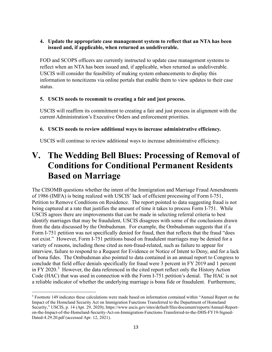#### **4. Update the appropriate case management system to reflect that an NTA has been issued and, if applicable, when returned as undeliverable.**

FOD and SCOPS officers are currently instructed to update case management systems to reflect when an NTA has been issued and, if applicable, when returned as undeliverable. USCIS will consider the feasibility of making system enhancements to display this information to noncitizens via online portals that enable them to view updates to their case status.

#### **5. USCIS needs to recommit to creating a fair and just process.**

USCIS will reaffirm its commitment to creating a fair and just process in alignment with the current Administration's Executive Orders and enforcement priorities.

#### **6. USCIS needs to review additional ways to increase administrative efficiency.**

USCIS will continue to review additional ways to increase administrative efficiency.

### **V. The Wedding Bell Blues: Processing of Removal of Conditions for Conditional Permanent Residents Based on Marriage**

The CISOMB questions whether the intent of the Immigration and Marriage Fraud Amendments of 1986 (IMFA) is being realized with USCIS' lack of efficient processing of Form I-751, Petition to Remove Conditions on Residence. The report pointed to data suggesting fraud is not being captured at a rate that justifies the amount of time it takes to process Form I-751. While USCIS agrees there are improvements that can be made in selecting referral criteria to best identify marriages that may be fraudulent, USCIS disagrees with some of the conclusions drawn from the data discussed by the Ombudsman. For example, the Ombudsman suggests that if a Form I-751 petition was not specifically denied for fraud, then that reflects that the fraud "does not exist." However, Form I-751 petitions based on fraudulent marriages may be denied for a variety of reasons, including those cited as non-fraud-related, such as failure to appear for interview, failure to respond to a Request for Evidence or Notice of Intent to Deny, and for a lack of bona fides. The Ombudsman also pointed to data contained in an annual report to Congress to conclude that field office denials specifically for fraud were 3 percent in FY 2019 and 1 percent in FY 2020.<sup>[3](#page-12-0)</sup> However, the data referenced in the cited report reflect only the History Action Code (HAC) that was used in connection with the Form I-751 petition's denial. The HAC is not a reliable indicator of whether the underlying marriage is bona fide or fraudulent. Furthermore,

<span id="page-12-0"></span><sup>3</sup> Footnote 149 indicates these calculations were made based on information contained within "Annual Report on the Impact of the Homeland Security Act on Immigration Functions Transferred to the Department of Homeland Security," USCIS, p. 14 (Apr. 29, 2020); https://www.uscis.gov/sites/default/files/document/reports/Annual-Reporton-the-Impact-of-the-Homeland-Security-Act-on-Immigration-Functions-Transferred-to-the-DHS-FY19-Signed-Dated-4.29.20.pdf (accessed Apr. 12, 2021).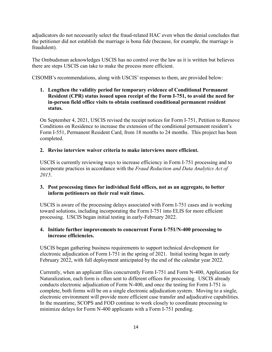adjudicators do not necessarily select the fraud-related HAC even when the denial concludes that the petitioner did not establish the marriage is bona fide (because, for example, the marriage is fraudulent).

The Ombudsman acknowledges USCIS has no control over the law as it is written but believes there are steps USCIS can take to make the process more efficient.

CISOMB's recommendations, along with USCIS' responses to them, are provided below:

#### **1. Lengthen the validity period for temporary evidence of Conditional Permanent Resident (CPR) status issued upon receipt of the Form I-751, to avoid the need for in-person field office visits to obtain continued conditional permanent resident status.**

On September 4, 2021, USCIS revised the receipt notices for Form I-751, Petition to Remove Conditions on Residence to increase the extension of the conditional permanent resident's Form I-551, Permanent Resident Card, from 18 months to 24 months. This project has been completed.

#### **2. Revise interview waiver criteria to make interviews more efficient.**

USCIS is currently reviewing ways to increase efficiency in Form I-751 processing and to incorporate practices in accordance with the *Fraud Reduction and Data Analytics Act of 2015*.

#### **3. Post processing times for individual field offices, not as an aggregate, to better inform petitioners on their real wait times.**

USCIS is aware of the processing delays associated with Form I-751 cases and is working toward solutions, including incorporating the Form I-751 into ELIS for more efficient processing. USCIS began initial testing in early-February 2022.

#### **4. Initiate further improvements to concurrent Form I-751/N-400 processing to increase efficiencies.**

USCIS began gathering business requirements to support technical development for electronic adjudication of Form I-751 in the spring of 2021. Initial testing began in early February 2022, with full deployment anticipated by the end of the calendar year 2022.

Currently, when an applicant files concurrently Form I-751 and Form N-400, Application for Naturalization, each form is often sent to different offices for processing. USCIS already conducts electronic adjudication of Form N-400, and once the testing for Form I-751 is complete, both forms will be on a single electronic adjudication system. Moving to a single, electronic environment will provide more efficient case transfer and adjudicative capabilities. In the meantime, SCOPS and FOD continue to work closely to coordinate processing to minimize delays for Form N-400 applicants with a Form I-751 pending.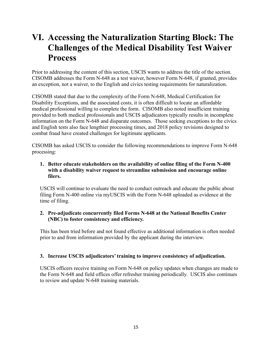### **VI. Accessing the Naturalization Starting Block: The Challenges of the Medical Disability Test Waiver Process**

Prior to addressing the content of this section, USCIS wants to address the title of the section. CISOMB addresses the Form N-648 as a test waiver, however Form N-648, if granted, provides an exception, not a waiver, to the English and civics testing requirements for naturalization.

CISOMB stated that due to the complexity of the Form N-648, Medical Certification for Disability Exceptions, and the associated costs, it is often difficult to locate an affordable medical professional willing to complete the form. CISOMB also noted insufficient training provided to both medical professionals and USCIS adjudicators typically results in incomplete information on the Form N-648 and disparate outcomes. Those seeking exceptions to the civics and English tests also face lengthier processing times, and 2018 policy revisions designed to combat fraud have created challenges for legitimate applicants.

CISOMB has asked USCIS to consider the following recommendations to improve Form N-648 processing:

#### **1. Better educate stakeholders on the availability of online filing of the Form N-400 with a disability waiver request to streamline submission and encourage online filers.**

USCIS will continue to evaluate the need to conduct outreach and educate the public about filing Form N-400 online via myUSCIS with the Form N-648 uploaded as evidence at the time of filing.

#### **2. Pre-adjudicate concurrently filed Forms N-648 at the National Benefits Center (NBC) to foster consistency and efficiency.**

This has been tried before and not found effective as additional information is often needed prior to and from information provided by the applicant during the interview.

#### **3. Increase USCIS adjudicators' training to improve consistency of adjudication.**

USCIS officers receive training on Form N-648 on policy updates when changes are made to the Form N-648 and field offices offer refresher training periodically. USCIS also continues to review and update N-648 training materials.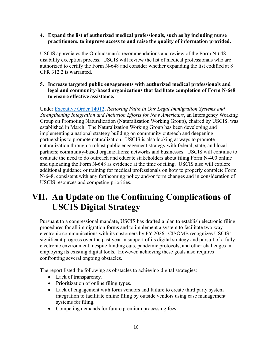#### **4. Expand the list of authorized medical professionals, such as by including nurse practitioners, to improve access to and raise the quality of information provided.**

USCIS appreciates the Ombudsman's recommendations and review of the Form N-648 disability exception process. USCIS will review the list of medical professionals who are authorized to certify the Form N-648 and consider whether expanding the list codified at 8 CFR 312.2 is warranted.

#### **5. Increase targeted public engagements with authorized medical professionals and legal and community-based organizations that facilitate completion of Form N-648 to ensure effective assistance.**

Under [Executive Order 14012,](https://www.whitehouse.gov/briefing-room/presidential-actions/2021/02/02/executive-order-restoring-faith-in-our-legal-immigration-systems-and-strengthening-integration-and-inclusion-efforts-for-new-americans/) *Restoring Faith in Our Legal Immigration Systems and Strengthening Integration and Inclusion Efforts for New Americans*, an Interagency Working Group on Promoting Naturalization (Naturalization Working Group), chaired by USCIS, was established in March. The Naturalization Working Group has been developing and implementing a national strategy building on community outreach and deepening partnerships to promote naturalization. USCIS is also looking at ways to promote naturalization through a robust public engagement strategy with federal, state, and local partners; community-based organizations; networks and businesses. USCIS will continue to evaluate the need to do outreach and educate stakeholders about filing Form N-400 online and uploading the Form N-648 as evidence at the time of filing. USCIS also will explore additional guidance or training for medical professionals on how to properly complete Form N-648, consistent with any forthcoming policy and/or form changes and in consideration of USCIS resources and competing priorities.

### **VII. An Update on the Continuing Complications of USCIS Digital Strategy**

Pursuant to a congressional mandate, USCIS has drafted a plan to establish electronic filing procedures for all immigration forms and to implement a system to facilitate two-way electronic communications with its customers by FY 2026. CISOMB recognizes USCIS' significant progress over the past year in support of its digital strategy and pursuit of a fully electronic environment, despite funding cuts, pandemic protocols, and other challenges in employing its existing digital tools. However, achieving these goals also requires confronting several ongoing obstacles.

The report listed the following as obstacles to achieving digital strategies:

- Lack of transparency.
- Prioritization of online filing types.
- Lack of engagement with form vendors and failure to create third party system integration to facilitate online filing by outside vendors using case management systems for filing.
- Competing demands for future premium processing fees.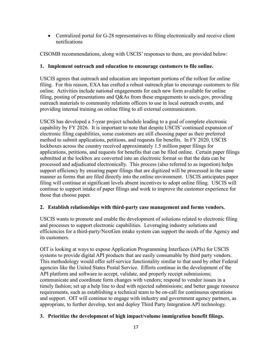• Centralized portal for G-28 representatives to filing electronically and receive client notifications

CISOMB recommendations, along with USCIS' responses to them, are provided below:

#### **1. Implement outreach and education to encourage customers to file online.**

USCIS agrees that outreach and education are important portions of the rollout for online filing. For this reason, EXA has crafted a robust outreach plan to encourage customers to file online. Activities include national engagements for each new form available for online filing, posting of presentations and Q&As from these engagements to uscis.gov, providing outreach materials to community relations officers to use in local outreach events, and providing internal training on online filing to all external communicators.

USCIS has developed a 5-year project schedule leading to a goal of complete electronic capability by FY 2026. It is important to note that despite USCIS' continued expansion of electronic filing capabilities, some customers are still choosing paper as their preferred method to submit applications, petitions, and requests for benefits. In FY 2020, USCIS lockboxes across the country received approximately 1.5 million paper filings for applications, petitions, and requests for benefits that can be filed online. Certain paper filings submitted at the lockbox are converted into an electronic format so that the data can be processed and adjudicated electronically. This process (also referred to as ingestion) helps support efficiency by ensuring paper filings that are digitized will be processed in the same manner as forms that are filed directly into the online environment. USCIS anticipates paper filing will continue at significant levels absent incentives to adopt online filing. USCIS will continue to support intake of paper filings and work to improve the customer experience for those that choose paper.

#### **2. Establish relationships with third-party case management and forms vendors.**

USCIS wants to promote and enable the development of solutions related to electronic filing and processes to support electronic capabilities. Leveraging industry solutions and efficiencies for a third-party/NextGen intake system can support the needs of the Agency and its customers.

OIT is looking at ways to expose Application Programming Interfaces (APIs) for USCIS systems to provide digital API products that are easily consumable by third party vendors. This methodology would offer self-service functionality similar to that used by other Federal agencies like the United States Postal Service. Efforts continue in the development of the API platform and software to accept, validate, and properly receipt submissions; communicate and coordinate form changes with vendors; respond to vendor issues in a timely fashion; set up a help line to deal with rejected submissions; and better gauge resource requirements, such as establishing a technical team to be on-call for continuous operations and support. OIT will continue to engage with industry and government agency partners, as appropriate, to further develop, test and deploy Third Party Integration API technology.

#### **3. Prioritize the development of high impact/volume immigration benefit filings.**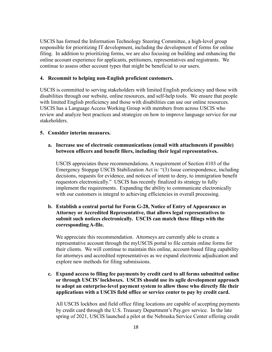USCIS has formed the Information Technology Steering Committee, a high-level group responsible for prioritizing IT development, including the development of forms for online filing. In addition to prioritizing forms, we are also focusing on building and enhancing the online account experience for applicants, petitioners, representatives and registrants. We continue to assess other account types that might be beneficial to our users.

#### **4. Recommit to helping non-English proficient customers.**

USCIS is committed to serving stakeholders with limited English proficiency and those with disabilities through our website, online resources, and self-help tools. We ensure that people with limited English proficiency and those with disabilities can use our online resources. USCIS has a Language Access Working Group with members from across USCIS who review and analyze best practices and strategize on how to improve language service for our stakeholders.

#### **5. Consider interim measures.**

#### **a. Increase use of electronic communications (email with attachments if possible) between officers and benefit filers, including their legal representatives.**

USCIS appreciates these recommendations. A requirement of Section 4103 of the Emergency Stopgap USCIS Stabilization Act is: "(3) Issue correspondence, including decisions, requests for evidence, and notices of intent to deny, to immigration benefit requestors electronically." USCIS has recently finalized its strategy to fully implement the requirements. Expanding the ability to communicate electronically with our customers is integral to achieving efficiencies in overall processing.

#### **b. Establish a central portal for Form G-28, Notice of Entry of Appearance as Attorney or Accredited Representative, that allows legal representatives to submit such notices electronically. USCIS can match these filings with the corresponding A-file.**

We appreciate this recommendation. Attorneys are currently able to create a representative account through the myUSCIS portal to file certain online forms for their clients. We will continue to maintain this online, account-based filing capability for attorneys and accredited representatives as we expand electronic adjudication and explore new methods for filing submissions.

#### **c. Expand access to filing fee payments by credit card to all forms submitted online or through USCIS' lockboxes. USCIS should use its agile development approach to adopt an enterprise-level payment system to allow those who directly file their applications with a USCIS field office or service center to pay by credit card.**

All USCIS lockbox and field office filing locations are capable of accepting payments by credit card through the U.S. Treasury Department's Pay.gov service. In the late spring of 2021, USCIS launched a pilot at the Nebraska Service Center offering credit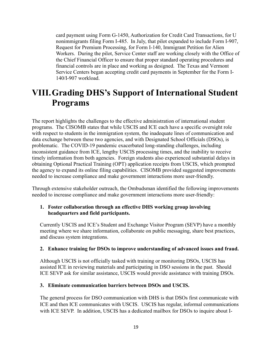card payment using Form G-1450, Authorization for Credit Card Transactions, for U nonimmigrants filing Form I-485. In July, that pilot expanded to include Form I-907, Request for Premium Processing, for Form I-140, Immigrant Petition for Alien Workers. During the pilot, Service Center staff are working closely with the Office of the Chief Financial Officer to ensure that proper standard operating procedures and financial controls are in place and working as designed. The Texas and Vermont Service Centers began accepting credit card payments in September for the Form I-140/I-907 workload.

### **VIII.Grading DHS's Support of International Student Programs**

The report highlights the challenges to the effective administration of international student programs. The CISOMB states that while USCIS and ICE each have a specific oversight role with respect to students in the immigration system, the inadequate lines of communication and data exchange between these two agencies, and with Designated School Officials (DSOs), is problematic. The COVID-19 pandemic exacerbated long-standing challenges, including inconsistent guidance from ICE, lengthy USCIS processing times, and the inability to receive timely information from both agencies. Foreign students also experienced substantial delays in obtaining Optional Practical Training (OPT) application receipts from USCIS, which prompted the agency to expand its online filing capabilities. CISOMB provided suggested improvements needed to increase compliance and make government interactions more user-friendly.

Through extensive stakeholder outreach, the Ombudsman identified the following improvements needed to increase compliance and make government interactions more user-friendly:

#### **1. Foster collaboration through an effective DHS working group involving headquarters and field participants.**

Currently USCIS and ICE's Student and Exchange Visitor Program (SEVP) have a monthly meeting where we share information, collaborate on public messaging, share best practices, and discuss system integrations.

#### **2. Enhance training for DSOs to improve understanding of advanced issues and fraud.**

Although USCIS is not officially tasked with training or monitoring DSOs, USCIS has assisted ICE in reviewing materials and participating in DSO sessions in the past. Should ICE SEVP ask for similar assistance, USCIS would provide assistance with training DSOs.

#### **3. Eliminate communication barriers between DSOs and USCIS.**

The general process for DSO communication with DHS is that DSOs first communicate with ICE and then ICE communicates with USCIS. USCIS has regular, informal communications with ICE SEVP. In addition, USCIS has a dedicated mailbox for DSOs to inquire about I-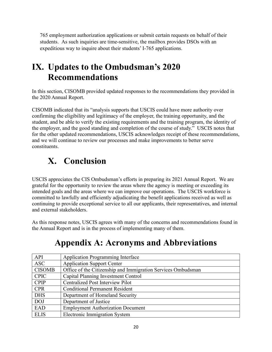765 employment authorization applications or submit certain requests on behalf of their students. As such inquiries are time-sensitive, the mailbox provides DSOs with an expeditious way to inquire about their students' I-765 applications.

### **IX. Updates to the Ombudsman's 2020 Recommendations**

In this section, CISOMB provided updated responses to the recommendations they provided in the 2020 Annual Report.

CISOMB indicated that its "analysis supports that USCIS could have more authority over confirming the eligibility and legitimacy of the employer, the training opportunity, and the student, and be able to verify the existing requirements and the training program, the identity of the employer, and the good standing and completion of the course of study." USCIS notes that for the other updated recommendations, USCIS acknowledges receipt of these recommendations, and we will continue to review our processes and make improvements to better serve constituents.

## **X. Conclusion**

USCIS appreciates the CIS Ombudsman's efforts in preparing its 2021 Annual Report. We are grateful for the opportunity to review the areas where the agency is meeting or exceeding its intended goals and the areas where we can improve our operations. The USCIS workforce is committed to lawfully and efficiently adjudicating the benefit applications received as well as continuing to provide exceptional service to all our applicants, their representatives, and internal and external stakeholders.

As this response notes, USCIS agrees with many of the concerns and recommendations found in the Annual Report and is in the process of implementing many of them.

| API           | <b>Application Programming Interface</b>                     |
|---------------|--------------------------------------------------------------|
| <b>ASC</b>    | <b>Application Support Center</b>                            |
| <b>CISOMB</b> | Office of the Citizenship and Immigration Services Ombudsman |
| <b>CPIC</b>   | Capital Planning Investment Control                          |
| <b>CPIP</b>   | <b>Centralized Post Interview Pilot</b>                      |
| <b>CPR</b>    | <b>Conditional Permanent Resident</b>                        |
| <b>DHS</b>    | Department of Homeland Security                              |
| <b>DOJ</b>    | Department of Justice                                        |
| EAD           | <b>Employment Authorization Document</b>                     |
| <b>ELIS</b>   | <b>Electronic Immigration System</b>                         |

### **Appendix A: Acronyms and Abbreviations**